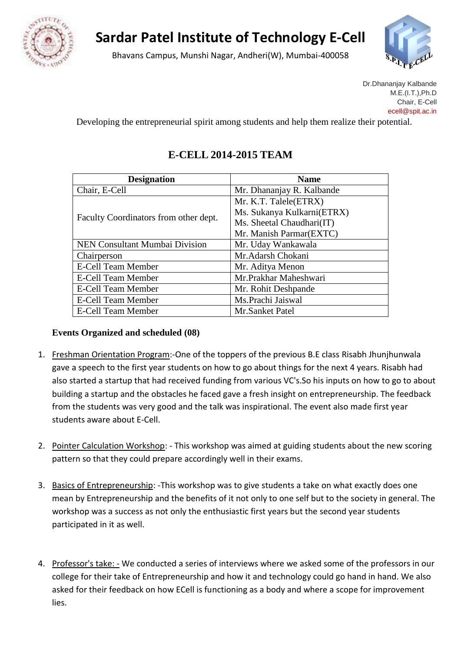

## **Sardar Patel Institute of Technology E-Cell**

Bhavans Campus, Munshi Nagar, Andheri(W), Mumbai-400058



Dr.Dhananjay Kalbande M.E.(I.T.),Ph.D Chair, E-Cell ece[ll@spit.ac.in](mailto:drkalbande@spit.ac.in)

Developing the entrepreneurial spirit among students and help them realize their potential.

## **E-CELL 2014-2015 TEAM**

| <b>Designation</b>                    | <b>Name</b>                |  |
|---------------------------------------|----------------------------|--|
| Chair, E-Cell                         | Mr. Dhananjay R. Kalbande  |  |
| Faculty Coordinators from other dept. | Mr. K.T. Talele(ETRX)      |  |
|                                       | Ms. Sukanya Kulkarni(ETRX) |  |
|                                       | Ms. Sheetal Chaudhari(IT)  |  |
|                                       | Mr. Manish Parmar(EXTC)    |  |
| NEN Consultant Mumbai Division        | Mr. Uday Wankawala         |  |
| Chairperson                           | Mr.Adarsh Chokani          |  |
| <b>E-Cell Team Member</b>             | Mr. Aditya Menon           |  |
| E-Cell Team Member                    | Mr.Prakhar Maheshwari      |  |
| E-Cell Team Member                    | Mr. Rohit Deshpande        |  |
| E-Cell Team Member                    | Ms.Prachi Jaiswal          |  |
| <b>E-Cell Team Member</b>             | Mr.Sanket Patel            |  |

## **Events Organized and scheduled (08)**

- 1. Freshman Orientation Program:-One of the toppers of the previous B.E class Risabh Jhunjhunwala gave a speech to the first year students on how to go about things for the next 4 years. Risabh had also started a startup that had received funding from various VC's.So his inputs on how to go to about building a startup and the obstacles he faced gave a fresh insight on entrepreneurship. The feedback from the students was very good and the talk was inspirational. The event also made first year students aware about E-Cell.
- 2. Pointer Calculation Workshop: This workshop was aimed at guiding students about the new scoring pattern so that they could prepare accordingly well in their exams.
- 3. Basics of Entrepreneurship: -This workshop was to give students a take on what exactly does one mean by Entrepreneurship and the benefits of it not only to one self but to the society in general. The workshop was a success as not only the enthusiastic first years but the second year students participated in it as well.
- 4. Professor's take: We conducted a series of interviews where we asked some of the professors in our college for their take of Entrepreneurship and how it and technology could go hand in hand. We also asked for their feedback on how ECell is functioning as a body and where a scope for improvement lies.